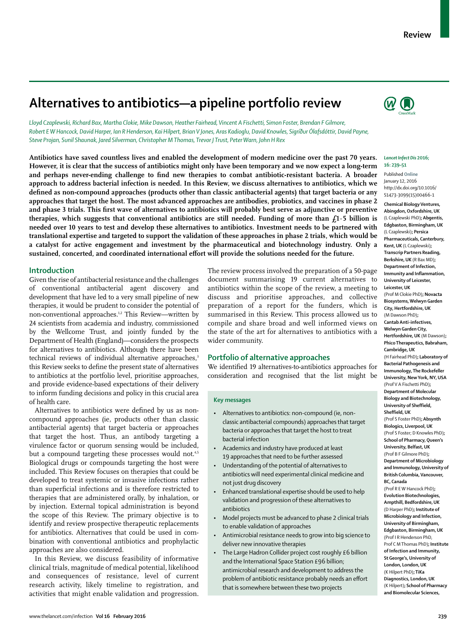# **Alternatives to antibiotics—a pipeline portfolio review**

*Lloyd Czaplewski, Richard Bax, Martha Clokie, Mike Dawson, Heather Fairhead, Vincent A Fischetti, Simon Foster, Brendan F Gilmore, Robert E W Hancock, David Harper, Ian R Henderson, Kai Hilpert, Brian V Jones, Aras Kadioglu, David Knowles, Sigríður Ólafsdóttir, David Payne, Steve Projan, Sunil Shaunak, Jared Silverman, Christopher M Thomas, Trevor J Trust, Peter Warn, John H Rex*

**Antibiotics have saved countless lives and enabled the development of modern medicine over the past 70 years. However, it is clear that the success of antibiotics might only have been temporary and we now expect a long-term**  and perhaps never-ending challenge to find new therapies to combat antibiotic-resistant bacteria. A broader **approach to address bacterial infection is needed. In this Review, we discuss alternatives to antibiotics, which we**  defined as non-compound approaches (products other than classic antibacterial agents) that target bacteria or any **approaches that target the host. The most advanced approaches are antibodies, probiotics, and vaccines in phase 2**  and phase 3 trials. This first wave of alternatives to antibiotics will probably best serve as adjunctive or preventive **therapies, which suggests that conventional antibiotics are still needed. Funding of more than £1·5 billion is needed over 10 years to test and develop these alternatives to antibiotics. Investment needs to be partnered with translational expertise and targeted to support the validation of these approaches in phase 2 trials, which would be a catalyst for active engagement and investment by the pharmaceutical and biotechnology industry. Only a**  sustained, concerted, and coordinated international effort will provide the solutions needed for the future.

## **Introduction**

Given the rise of antibacterial resistance and the challenges of conventional antibacterial agent discovery and development that have led to a very small pipeline of new therapies, it would be prudent to consider the potential of non-conventional approaches.1,2 This Review—written by 24 scientists from academia and industry, commissioned by the Wellcome Trust, and jointly funded by the Department of Health (England)—considers the prospects for alternatives to antibiotics. Although there have been technical reviews of individual alternative approaches,<sup>3</sup> this Review seeks to define the present state of alternatives to antibiotics at the portfolio level, prioritise approaches, and provide evidence-based expectations of their delivery to inform funding decisions and policy in this crucial area of health care.

Alternatives to antibiotics were defined by us as noncompound approaches (ie, products other than classic antibacterial agents) that target bacteria or approaches that target the host. Thus, an antibody targeting a virulence factor or quorum sensing would be included, but a compound targeting these processes would not.<sup>4,5</sup> Biological drugs or compounds targeting the host were included. This Review focuses on therapies that could be developed to treat systemic or invasive infections rather than superficial infections and is therefore restricted to therapies that are administered orally, by inhalation, or by injection. External topical administration is beyond the scope of this Review. The primary objective is to identify and review prospective therapeutic replacements for antibiotics. Alternatives that could be used in combination with conventional antibiotics and prophylactic approaches are also considered.

In this Review, we discuss feasibility of informative clinical trials, magnitude of medical potential, likelihood and consequences of resistance, level of current research activity, likely timeline to registration, and activities that might enable validation and progression. The review process involved the preparation of a 50-page document summarising 19 current alternatives to antibiotics within the scope of the review, a meeting to discuss and prioritise approaches, and collective preparation of a report for the funders, which is summarised in this Review. This process allowed us to compile and share broad and well informed views on the state of the art for alternatives to antibiotics with a wider community.

## **Portfolio of alternative approaches**

We identified 19 alternatives-to-antibiotics approaches for consideration and recognised that the list might be

## **Key messages**

- Alternatives to antibiotics: non-compound (ie, nonclassic antibacterial compounds) approaches that target bacteria or approaches that target the host to treat bacterial infection
- Academics and industry have produced at least 19 approaches that need to be further assessed
- Understanding of the potential of alternatives to antibiotics will need experimental clinical medicine and not just drug discovery
- Enhanced translational expertise should be used to help validation and progression of these alternatives to antibiotics
- Model projects must be advanced to phase 2 clinical trials to enable validation of approaches
- Antimicrobial resistance needs to grow into big science to deliver new innovative therapies
- The Large Hadron Collider project cost roughly £6 billion and the International Space Station £96 billion; antimicrobial research and development to address the problem of antibiotic resistance probably needs an effort that is somewhere between these two projects



#### *Lancet Infect Dis* **2016; 16: 239–51**

Published **Online** January 12, 2016 http://dx.doi.org/10.1016/ S1473-3099(15)00466-1

**Chemical Biology Ventures, Abingdon, Oxfordshire, UK** (L Czaplewski PhD)**; Abgentis, Edgbaston, Birmingham, UK**  (L Czaplewski)**; Persica Pharmaceuticals, Canterbury, Kent, UK** (L Czaplewski)**; Transcrip Partners Reading, Berkshire, UK** (R Bax MD)**; Department of Infection, Immunity and Inflammation, University of Leicester, Leicester, UK**  (Prof M Clokie PhD)**; Novacta Biosystems, Welwyn Garden City, Hertfordshire, UK**  (M Dawson PhD)**; Cantab Anti-infectives, Welwyn Garden City, Hertfordshire, UK** (M Dawson)**; Phico Therapeutics, Babraham, Cambridge, UK**  (H Fairhead PhD)**; Laboratory of Bacterial Pathogenesis and Immunology, The Rockefeller University, New York, NY, USA** (Prof V A Fischetti PhD)**; Department of Molecular Biology and Biotechnology, University of Sheffield, Sheffield, UK**  (Prof S Foster PhD)**; Absynth Biologics, Liverpool, UK**  (Prof S Foster; D Knowles PhD)**; School of Pharmacy, Queen's University, Belfast, UK**  (Prof B F Gilmore PhD)**; Department of Microbiology and Immunology, University of British Columbia, Vancouver, BC, Canada**  (Prof R E W Hancock PhD)**; Evolution Biotechnologies, Ampthill, Bedfordshire, UK**  (D Harper PhD)**; Institute of Microbiology and Infection, University of Birmingham, Edgbaston, Birmingham, UK**  (Prof I R Henderson PhD, Prof C M Thomas PhD)**; Institute of Infection and Immunity, St George's, University of London, London, UK**  (K Hilpert PhD)**; TiKa Diagnostics, London, UK**  (K Hilpert)**; School of Pharmacy and Biomolecular Sciences,**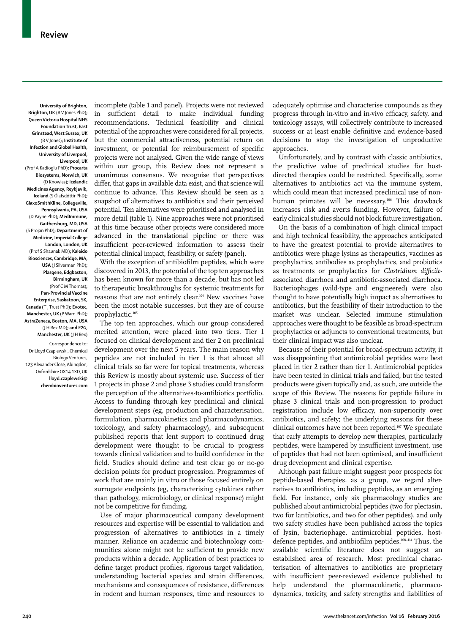**University of Brighton, Brighton, UK** (B V Jones PhD)**; Queen Victoria Hospital NHS Foundation Trust, East Grinstead, West Sussex, UK**  (B V Jones)**; Institute of Infection and Global Health, University of Liverpool, Liverpool, UK**  (Prof A Kadioglu PhD)**; Procarta Biosystems, Norwich, UK**  (D Knowles)**; Icelandic Medicines Agency, Reykjavik, Iceland** (S Ólafsdóttir PhD)**; GlaxoSmithKline, Collegeville, Pennsylvania, PA, USA**  (D Payne PhD)**; MedImmune, Gaithersburg, MD, USA**  (S Projan PhD)**; Department of Medicine, Imperial College London, London, UK**  (Prof S Shaunak MD)**; Kaleido Biosciences, Cambridge, MA, USA** (J Silverman PhD)**; Plasgene, Edgbaston, Birmingham, UK**  (Prof C M Thomas)**; Pan-Provincial Vaccine Enterprise, Saskatoon, SK, Canada** (T J Trust PhD)**; Evotec, Manchester, UK** (P Warn PhD)**; AstraZeneca, Boston, MA, USA**  (J H Rex MD)**; and F2G, Manchester, UK** (J H Rex) Correspondence to: Dr Lloyd Czaplewski, Chemical Biology Ventures, 123 Alexander Close, Abingdon, Oxfordshire OX14 1XD, UK **lloyd.czaplewski@ chembioventures.com** incomplete (table 1 and panel). Projects were not reviewed in sufficient detail to make individual funding recommendations. Technical feasibility and clinical potential of the approaches were considered for all projects, but the commercial attractiveness, potential return on investment, or potential for reimbursement of specific projects were not analysed. Given the wide range of views within our group, this Review does not represent a unanimous consensus. We recognise that perspectives differ, that gaps in available data exist, and that science will continue to advance. This Review should be seen as a snapshot of alternatives to antibiotics and their perceived potential. Ten alternatives were prioritised and analysed in more detail (table 1). Nine approaches were not prioritised at this time because other projects were considered more advanced in the translational pipeline or there was insufficient peer-reviewed information to assess their potential clinical impact, feasibility, or safety (panel).

With the exception of antibiofilm peptides, which were discovered in 2013, the potential of the top ten approaches has been known for more than a decade, but has not led to therapeutic breakthroughs for systemic treatments for reasons that are not entirely clear.104 New vaccines have been the most notable successes, but they are of course prophylactic.<sup>105</sup>

The top ten approaches, which our group considered merited attention, were placed into two tiers. Tier 1 focused on clinical development and tier 2 on preclinical development over the next 5 years. The main reason why peptides are not included in tier 1 is that almost all clinical trials so far were for topical treatments, whereas this Review is mostly about systemic use. Success of tier 1 projects in phase 2 and phase 3 studies could transform the perception of the alternatives-to-antibiotics portfolio. Access to funding through key preclinical and clinical development steps (eg, production and characterisation, formulation, pharmacokinetics and pharmacodynamics, toxicology, and safety pharmacology), and subsequent published reports that lent support to continued drug development were thought to be crucial to progress towards clinical validation and to build confidence in the field. Studies should define and test clear go or no-go decision points for product progression. Programmes of work that are mainly in vitro or those focused entirely on surrogate endpoints (eg, characterising cytokines rather than pathology, microbiology, or clinical response) might not be competitive for funding.

Use of major pharmaceutical company development resources and expertise will be essential to validation and progression of alternatives to antibiotics in a timely manner. Reliance on academic and biotechnology communities alone might not be sufficient to provide new products within a decade. Application of best practices to define target product profiles, rigorous target validation, understanding bacterial species and strain differences, mechanisms and consequences of resistance, differences in rodent and human responses, time and resources to adequately optimise and characterise compounds as they progress through in-vitro and in-vivo efficacy, safety, and toxicology assays, will collectively contribute to increased success or at least enable definitive and evidence-based decisions to stop the investigation of unproductive approaches.

Unfortunately, and by contrast with classic antibiotics, the predictive value of preclinical studies for hostdirected therapies could be restricted. Specifically, some alternatives to antibiotics act via the immune system, which could mean that increased preclinical use of nonhuman primates will be necessary.<sup>106</sup> This drawback increases risk and averts funding. However, failure of early clinical studies should not block future investigation.

On the basis of a combination of high clinical impact and high technical feasibility, the approaches anticipated to have the greatest potential to provide alternatives to antibiotics were phage lysins as therapeutics, vaccines as prophylactics, antibodies as prophylactics, and probiotics as treatments or prophylactics for *Clostridium difficile*associated diarrhoea and antibiotic-associated diarrhoea. Bacteriophages (wild-type and engineered) were also thought to have potentially high impact as alternatives to antibiotics, but the feasibility of their introduction to the market was unclear. Selected immune stimulation approaches were thought to be feasible as broad-spectrum prophylactics or adjuncts to conventional treatments, but their clinical impact was also unclear.

Because of their potential for broad-spectrum activity, it was disappointing that antimicrobial peptides were best placed in tier 2 rather than tier 1. Antimicrobial peptides have been tested in clinical trials and failed, but the tested products were given topically and, as such, are outside the scope of this Review. The reasons for peptide failure in phase 3 clinical trials and non-progression to product registration include low efficacy, non-superiority over antibiotics, and safety; the underlying reasons for these clinical outcomes have not been reported.<sup>107</sup> We speculate that early attempts to develop new therapies, particularly peptides, were hampered by insufficient investment, use of peptides that had not been optimised, and insufficient drug development and clinical expertise.

Although past failure might suggest poor prospects for peptide-based therapies, as a group, we regard alternatives to antibiotics, including peptides, as an emerging field. For instance, only six pharmacology studies are published about antimicrobial peptides (two for plectasin, two for lantibiotics, and two for other peptides), and only two safety studies have been published across the topics of lysin, bacteriophage, antimicrobial peptides, hostdefence peptides, and antibiofilm peptides.<sup>108-114</sup> Thus, the available scientific literature does not suggest an established area of research. Most preclinical characterisation of alternatives to antibiotics are proprietary with insufficient peer-reviewed evidence published to help understand the pharmacokinetic, pharmacodynamics, toxicity, and safety strengths and liabilities of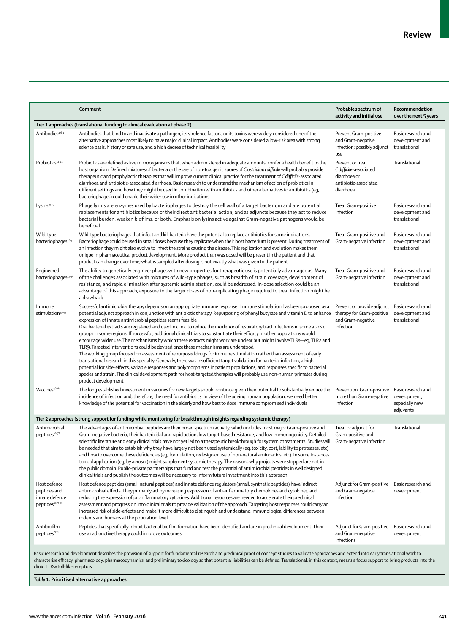|                                                                                | Comment                                                                                                                                                                                                                                                                                                                                                                                                                                                                                                                                                                                                                                                                                                                                                                                                                                                                                                                                                                                                                                                                                                                                                                                                                                                                                                                                          | Probable spectrum of<br>activity and initial use                                                 | Recommendation<br>over the next 5 years                           |  |  |  |  |  |  |
|--------------------------------------------------------------------------------|--------------------------------------------------------------------------------------------------------------------------------------------------------------------------------------------------------------------------------------------------------------------------------------------------------------------------------------------------------------------------------------------------------------------------------------------------------------------------------------------------------------------------------------------------------------------------------------------------------------------------------------------------------------------------------------------------------------------------------------------------------------------------------------------------------------------------------------------------------------------------------------------------------------------------------------------------------------------------------------------------------------------------------------------------------------------------------------------------------------------------------------------------------------------------------------------------------------------------------------------------------------------------------------------------------------------------------------------------|--------------------------------------------------------------------------------------------------|-------------------------------------------------------------------|--|--|--|--|--|--|
| Tier 1 approaches (translational funding to clinical evaluation at phase 2)    |                                                                                                                                                                                                                                                                                                                                                                                                                                                                                                                                                                                                                                                                                                                                                                                                                                                                                                                                                                                                                                                                                                                                                                                                                                                                                                                                                  |                                                                                                  |                                                                   |  |  |  |  |  |  |
| Antibodies <sup>4,6-13</sup>                                                   | Antibodies that bind to and inactivate a pathogen, its virulence factors, or its toxins were widely considered one of the<br>alternative approaches most likely to have major clinical impact. Antibodies were considered a low-risk area with strong<br>science basis, history of safe use, and a high degree of technical feasibility                                                                                                                                                                                                                                                                                                                                                                                                                                                                                                                                                                                                                                                                                                                                                                                                                                                                                                                                                                                                          | Prevent Gram-positive<br>and Gram-negative<br>infection; possibly adjunct<br>use                 | Basic research and<br>development and<br>translational            |  |  |  |  |  |  |
| Probiotics <sup>14-18</sup>                                                    | Probiotics are defined as live microorganisms that, when administered in adequate amounts, confer a health benefit to the<br>host organism. Defined mixtures of bacteria or the use of non-toxigenic spores of Clostridium difficile will probably provide<br>therapeutic and prophylactic therapies that will improve current clinical practice for the treatment of C difficile-associated<br>diarrhoea and antibiotic-associated diarrhoea. Basic research to understand the mechanism of action of probiotics in<br>different settings and how they might be used in combination with antibiotics and other alternatives to antibiotics (eg,<br>bacteriophages) could enable their wider use in other indications                                                                                                                                                                                                                                                                                                                                                                                                                                                                                                                                                                                                                            | Prevent or treat<br>C difficile-associated<br>diarrhoea or<br>antibiotic-associated<br>diarrhoea | Translational                                                     |  |  |  |  |  |  |
| Lysins <sup>19-27</sup>                                                        | Phage lysins are enzymes used by bacteriophages to destroy the cell wall of a target bacterium and are potential<br>replacements for antibiotics because of their direct antibacterial action, and as adjuncts because they act to reduce<br>bacterial burden, weaken biofilms, or both. Emphasis on lysins active against Gram-negative pathogens would be<br>beneficial                                                                                                                                                                                                                                                                                                                                                                                                                                                                                                                                                                                                                                                                                                                                                                                                                                                                                                                                                                        | Treat Gram-positive<br>infection                                                                 | Basic research and<br>development and<br>translational            |  |  |  |  |  |  |
| Wild-type<br>bacteriophages <sup>28-32</sup>                                   | Wild-type bacteriophages that infect and kill bacteria have the potential to replace antibiotics for some indications.<br>Bacteriophage could be used in small doses because they replicate when their host bacterium is present. During treatment of<br>an infection they might also evolve to infect the strains causing the disease. This replication and evolution makes them<br>unique in pharmaceutical product development. More product than was dosed will be present in the patient and that<br>product can change over time; what is sampled after dosing is not exactly what was given to the patient                                                                                                                                                                                                                                                                                                                                                                                                                                                                                                                                                                                                                                                                                                                                | Treat Gram-positive and<br>Gram-negative infection                                               | Basic research and<br>development and<br>translational            |  |  |  |  |  |  |
| Engineered<br>bacteriophages <sup>33-36</sup>                                  | The ability to genetically engineer phages with new properties for therapeutic use is potentially advantageous. Many<br>of the challenges associated with mixtures of wild-type phages, such as breadth of strain coverage, development of<br>resistance, and rapid elimination after systemic administration, could be addressed. In-dose selection could be an<br>advantage of this approach, exposure to the larger doses of non-replicating phage required to treat infection might be<br>a drawback                                                                                                                                                                                                                                                                                                                                                                                                                                                                                                                                                                                                                                                                                                                                                                                                                                         | Treat Gram-positive and<br>Gram-negative infection                                               | Basic research and<br>development and<br>translational            |  |  |  |  |  |  |
| Immune<br>stimulation <sup>37-45</sup>                                         | Successful antimicrobial therapy depends on an appropriate immune response. Immune stimulation has been proposed as a<br>potential adjunct approach in conjunction with antibiotic therapy. Repurposing of phenyl butyrate and vitamin D to enhance<br>expression of innate antimicrobial peptides seems feasible<br>Oral bacterial extracts are registered and used in clinic to reduce the incidence of respiratory tract infections in some at-risk<br>groups in some regions. If successful, additional clinical trials to substantiate their efficacy in other populations would<br>encourage wider use. The mechanisms by which these extracts might work are unclear but might involve TLRs—eg, TLR2 and<br>TLR9. Targeted interventions could be devised once these mechanisms are understood<br>The working group focused on assessment of repurposed drugs for immune stimulation rather than assessment of early<br>translational research in this specialty. Generally, there was insufficient target validation for bacterial infection, a high<br>potential for side-effects, variable responses and polymorphisms in patient populations, and responses specific to bacterial<br>species and strain. The clinical development path for host-targeted therapies will probably use non-human primates during<br>product development | Prevent or provide adjunct<br>therapy for Gram-positive<br>and Gram-negative<br>infection        | Basic research and<br>development and<br>translational            |  |  |  |  |  |  |
| Vaccines <sup>46-60</sup>                                                      | The long established investment in vaccines for new targets should continue given their potential to substantially reduce the<br>incidence of infection and, therefore, the need for antibiotics. In view of the ageing human population, we need better<br>knowledge of the potential for vaccination in the elderly and how best to dose immune compromised individuals                                                                                                                                                                                                                                                                                                                                                                                                                                                                                                                                                                                                                                                                                                                                                                                                                                                                                                                                                                        | Prevention, Gram-positive<br>more than Gram-negative<br>infection                                | Basic research and<br>development,<br>especially new<br>adjuvants |  |  |  |  |  |  |
|                                                                                | Tier 2 approaches (strong support for funding while monitoring for breakthrough insights regarding systemic therapy)                                                                                                                                                                                                                                                                                                                                                                                                                                                                                                                                                                                                                                                                                                                                                                                                                                                                                                                                                                                                                                                                                                                                                                                                                             |                                                                                                  |                                                                   |  |  |  |  |  |  |
| Antimicrobial<br>peptides <sup>61-72</sup>                                     | The advantages of antimicrobial peptides are their broad spectrum activity, which includes most major Gram-positive and<br>Gram-negative bacteria, their bactericidal and rapid action, low target-based resistance, and low immunogenicity. Detailed<br>scientific literature and early clinical trials have not yet led to a therapeutic breakthrough for systemic treatments. Studies will<br>be needed that aim to establish why they have largely not been used systemically (eq, toxicity, cost, lability to proteases, etc)<br>and how to overcome these deficiencies (eq, formulation, redesign or use of non-natural aminoacids, etc). In some instances<br>topical application (eq, by aerosol) might supplement systemic therapy. The reasons why projects were stopped are not in<br>the public domain. Public-private partnerships that fund and test the potential of antimicrobial peptides in well designed<br>clinical trials and publish the outcomes will be necessary to inform future investment into this approach                                                                                                                                                                                                                                                                                                         | Treat or adjunct for<br>Gram-positive and<br>Gram-negative infection                             | Translational                                                     |  |  |  |  |  |  |
| Host defence<br>peptides and<br>innate defence<br>peptides <sup>37,73-76</sup> | Host defence peptides (small, natural peptides) and innate defence regulators (small, synthetic peptides) have indirect<br>antimicrobial effects. They primarily act by increasing expression of anti-inflammatory chemokines and cytokines, and<br>reducing the expression of proinflammatory cytokines. Additional resources are needed to accelerate their preclinical<br>assessment and progression into clinical trials to provide validation of the approach. Targeting host responses could carry an<br>increased risk of side-effects and make it more difficult to distinguish and understand immunological differences between<br>rodents and humans at the population level                                                                                                                                                                                                                                                                                                                                                                                                                                                                                                                                                                                                                                                           | Adjunct for Gram-positive<br>and Gram-negative<br>infection                                      | Basic research and<br>development                                 |  |  |  |  |  |  |
| Antibiofilm<br>peptides <sup>77,78</sup>                                       | Peptides that specifically inhibit bacterial biofilm formation have been identified and are in preclinical development. Their<br>use as adjunctive therapy could improve outcomes                                                                                                                                                                                                                                                                                                                                                                                                                                                                                                                                                                                                                                                                                                                                                                                                                                                                                                                                                                                                                                                                                                                                                                | Adjunct for Gram-positive<br>and Gram-negative<br>infections                                     | Basic research and<br>development                                 |  |  |  |  |  |  |

clinic. TLRs=toll-like receptors.

*Table 1:* **Prioritised alternative approaches**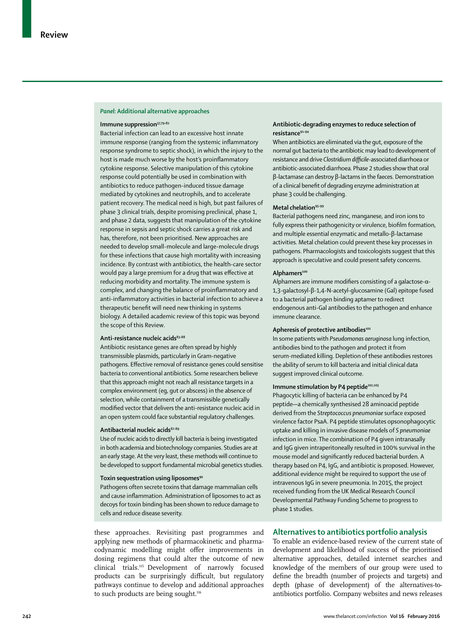#### *Panel:* **Additional alternative approaches**

#### **Immune suppression37,79–82**

Bacterial infection can lead to an excessive host innate immune response (ranging from the systemic inflammatory response syndrome to septic shock), in which the injury to the host is made much worse by the host's proinflammatory cytokine response. Selective manipulation of this cytokine response could potentially be used in combination with antibiotics to reduce pathogen-induced tissue damage mediated by cytokines and neutrophils, and to accelerate patient recovery. The medical need is high, but past failures of phase 3 clinical trials, despite promising preclinical, phase 1, and phase 2 data, suggests that manipulation of the cytokine response in sepsis and septic shock carries a great risk and has, therefore, not been prioritised. New approaches are needed to develop small-molecule and large-molecule drugs for these infections that cause high mortality with increasing incidence. By contrast with antibiotics, the health-care sector would pay a large premium for a drug that was effective at reducing morbidity and mortality. The immune system is complex, and changing the balance of proinflammatory and anti-inflammatory activities in bacterial infection to achieve a therapeutic benefit will need new thinking in systems biology. A detailed academic review of this topic was beyond the scope of this Review.

#### Anti-resistance nucleic acids<sup>83-88</sup>

Antibiotic resistance genes are often spread by highly transmissible plasmids, particularly in Gram-negative pathogens. Effective removal of resistance genes could sensitise bacteria to conventional antibiotics. Some researchers believe that this approach might not reach all resistance targets in a complex environment (eg, gut or abscess) in the absence of selection, while containment of a transmissible genetically modified vector that delivers the anti-resistance nucleic acid in an open system could face substantial regulatory challenges.

## **Antibacterial nucleic acids87–89**

Use of nucleic acids to directly kill bacteria is being investigated in both academia and biotechnology companies. Studies are at an early stage. At the very least, these methods will continue to be developed to support fundamental microbial genetics studies.

#### Toxin sequestration using liposomes<sup>90</sup>

Pathogens often secrete toxins that damage mammalian cells and cause inflammation. Administration of liposomes to act as decoys for toxin binding has been shown to reduce damage to cells and reduce disease severity.

these approaches. Revisiting past programmes and applying new methods of pharmacokinetic and pharmacodynamic modelling might offer improvements in dosing regimens that could alter the outcome of new clinical trials.115 Development of narrowly focused products can be surprisingly difficult, but regulatory pathways continue to develop and additional approaches to such products are being sought.<sup>116</sup>

## **Antibiotic-degrading enzymes to reduce selection of resistance91–94**

When antibiotics are eliminated via the gut, exposure of the normal gut bacteria to the antibiotic may lead to development of resistance and drive Clostridium difficile-associated diarrhoea or antibiotic-associated diarrhoea. Phase 2 studies show that oral β-lactamase can destroy β-lactams in the faeces. Demonstration of a clinical benefit of degrading enzyme administration at phase 3 could be challenging.

## **Metal chelation95–99**

Bacterial pathogens need zinc, manganese, and iron ions to fully express their pathogenicity or virulence, biofilm formation, and multiple essential enzymatic and metallo-β-lactamase activities. Metal chelation could prevent these key processes in pathogens. Pharmacologists and toxicologists suggest that this approach is speculative and could present safety concerns.

## Alphamers<sup>100</sup>

Alphamers are immune modifiers consisting of a galactose-α-1,3-galactosyl-β-1,4-N-acetyl-glucosamine (Gal) epitope fused to a bacterial pathogen binding aptamer to redirect endogenous anti-Gal antibodies to the pathogen and enhance immune clearance.

#### Apheresis of protective antibodies<sup>101</sup>

In some patients with *Pseudomonas aeruginosa* lung infection, antibodies bind to the pathogen and protect it from serum-mediated killing. Depletion of these antibodies restores the ability of serum to kill bacteria and initial clinical data suggest improved clinical outcome.

#### **Immune stimulation by P4 peptide<sup>102,103</sup>**

Phagocytic killing of bacteria can be enhanced by P4 peptide—a chemically synthesised 28 aminoacid peptide derived from the *Streptococcus pneumoniae* surface exposed virulence factor PsaA. P4 peptide stimulates opsonophagocytic uptake and killing in invasive disease models of *S pneumoniae* infection in mice. The combination of P4 given intranasally and IgG given intraperitoneally resulted in 100% survival in the mouse model and significantly reduced bacterial burden. A therapy based on P4, IgG, and antibiotic is proposed. However, additional evidence might be required to support the use of intravenous IgG in severe pneumonia. In 2015, the project received funding from the UK Medical Research Council Developmental Pathway Funding Scheme to progress to phase 1 studies.

#### **Alternatives to antibiotics portfolio analysis**

To enable an evidence-based review of the current state of development and likelihood of success of the prioritised alternative approaches, detailed internet searches and knowledge of the members of our group were used to define the breadth (number of projects and targets) and depth (phase of development) of the alternatives-toantibiotics portfolio. Company websites and news releases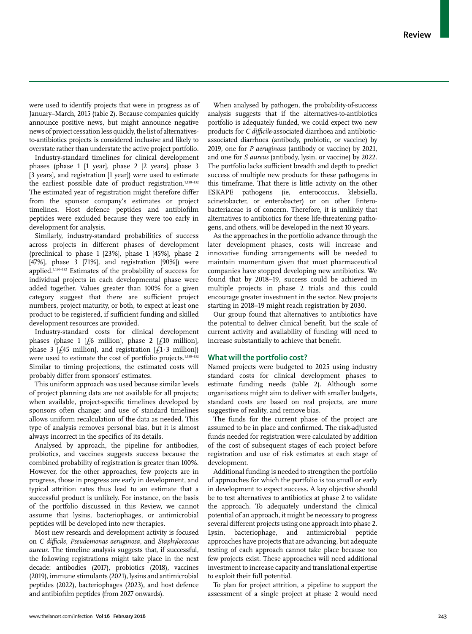were used to identify projects that were in progress as of January–March, 2015 (table 2). Because companies quickly announce positive news, but might announce negative news of project cessation less quickly, the list of alternativesto-antibiotics projects is considered inclusive and likely to overstate rather than understate the active project portfolio.

Industry-standard timelines for clinical development phases (phase 1 [1 year], phase 2 [2 years], phase 3 [3 years], and registration [1 year]) were used to estimate the earliest possible date of product registration.<sup>1,130-132</sup> The estimated year of registration might therefore differ from the sponsor company's estimates or project timelines. Host defence peptides and antibiofilm peptides were excluded because they were too early in development for analysis.

Similarly, industry-standard probabilities of success across projects in different phases of development (preclinical to phase 1 [23%], phase 1 [45%], phase 2 [47%], phase 3 [71%], and registration [90%]) were applied.1,130–132 Estimates of the probability of success for individual projects in each developmental phase were added together. Values greater than 100% for a given category suggest that there are sufficient project numbers, project maturity, or both, to expect at least one product to be registered, if sufficient funding and skilled development resources are provided.

Industry-standard costs for clinical development phases (phase 1 [ $f$ <sup>6</sup> million], phase 2 [ $f$ <sup>10</sup> million], phase 3 [ $\angle$ 45 million], and registration [ $\angle$ 1.3 million]) were used to estimate the cost of portfolio projects.<sup>1,130-132</sup> Similar to timing projections, the estimated costs will probably differ from sponsors' estimates.

This uniform approach was used because similar levels of project planning data are not available for all projects; when available, project-specific timelines developed by sponsors often change; and use of standard timelines allows uniform recalculation of the data as needed. This type of analysis removes personal bias, but it is almost always incorrect in the specifics of its details.

Analysed by approach, the pipeline for antibodies, probiotics, and vaccines suggests success because the combined probability of registration is greater than 100%. However, for the other approaches, few projects are in progress, those in progress are early in development, and typical attrition rates thus lead to an estimate that a successful product is unlikely. For instance, on the basis of the portfolio discussed in this Review, we cannot assume that lysins, bacteriophages, or antimicrobial peptides will be developed into new therapies.

Most new research and development activity is focused on *C* difficile, *Pseudomonas aeruginosa*, and *Staphylococcus aureus*. The timeline analysis suggests that, if successful, the following registrations might take place in the next decade: antibodies (2017), probiotics (2018), vaccines (2019), immune stimulants (2021), lysins and antimicrobial peptides (2022), bacteriophages (2023), and host defence and antibiofilm peptides (from 2027 onwards).

When analysed by pathogen, the probability-of-success analysis suggests that if the alternatives-to-antibiotics portfolio is adequately funded, we could expect two new products for *C difficile*-associated diarrhoea and antibioticassociated diarrhoea (antibody, probiotic, or vaccine) by 2019, one for *P aeruginosa* (antibody or vaccine) by 2021, and one for *S aureus* (antibody, lysin, or vaccine) by 2022. The portfolio lacks sufficient breadth and depth to predict success of multiple new products for these pathogens in this timeframe. That there is little activity on the other ESKAPE pathogens (ie, enterococcus, klebsiella, acinetobacter, or enterobacter) or on other Enterobacteriaceae is of concern. Therefore, it is unlikely that alternatives to antibiotics for these life-threatening pathogens, and others, will be developed in the next 10 years.

As the approaches in the portfolio advance through the later development phases, costs will increase and innovative funding arrangements will be needed to maintain momentum given that most pharmaceutical companies have stopped developing new antibiotics. We found that by 2018–19, success could be achieved in multiple projects in phase 2 trials and this could encourage greater investment in the sector. New projects starting in 2018–19 might reach registration by 2030.

Our group found that alternatives to antibiotics have the potential to deliver clinical benefit, but the scale of current activity and availability of funding will need to increase substantially to achieve that benefit.

#### **What will the portfolio cost?**

Named projects were budgeted to 2025 using industry standard costs for clinical development phases to estimate funding needs (table 2). Although some organisations might aim to deliver with smaller budgets, standard costs are based on real projects, are more suggestive of reality, and remove bias.

The funds for the current phase of the project are assumed to be in place and confirmed. The risk-adjusted funds needed for registration were calculated by addition of the cost of subsequent stages of each project before registration and use of risk estimates at each stage of development.

Additional funding is needed to strengthen the portfolio of approaches for which the portfolio is too small or early in development to expect success. A key objective should be to test alternatives to antibiotics at phase 2 to validate the approach. To adequately understand the clinical potential of an approach, it might be necessary to progress several different projects using one approach into phase 2. Lysin, bacteriophage, and antimicrobial peptide approaches have projects that are advancing, but adequate testing of each approach cannot take place because too few projects exist. These approaches will need additional investment to increase capacity and translational expertise to exploit their full potential.

To plan for project attrition, a pipeline to support the assessment of a single project at phase 2 would need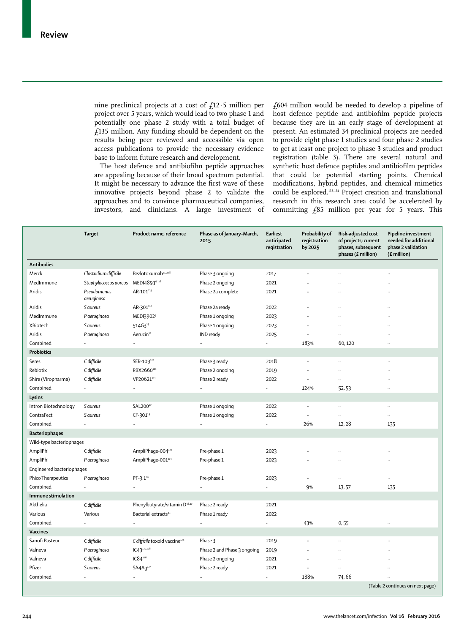nine preclinical projects at a cost of  $f12.5$  million per project over 5 years, which would lead to two phase 1 and potentially one phase 2 study with a total budget of  $£135$  million. Any funding should be dependent on the results being peer reviewed and accessible via open access publications to provide the necessary evidence base to inform future research and development.

The host defence and antibiofilm peptide approaches are appealing because of their broad spectrum potential. It might be necessary to advance the first wave of these innovative projects beyond phase 2 to validate the approaches and to convince pharmaceutical companies, investors, and clinicians. A large investment of

 $f604$  million would be needed to develop a pipeline of host defence peptide and antibiofilm peptide projects because they are in an early stage of development at present. An estimated 34 preclinical projects are needed to provide eight phase 1 studies and four phase 2 studies to get at least one project to phase 3 studies and product registration (table 3). There are several natural and synthetic host defence peptides and antibiofilm peptides that could be potential starting points. Chemical modifications, hybrid peptides, and chemical mimetics could be explored.133,134 Project creation and translational research in this research area could be accelerated by committing £85 million per year for 5 years. This

|                           | <b>Target</b>             | Product name, reference                   | Phase as of January-March,<br>2015 | <b>Earliest</b><br>anticipated<br>registration | Probability of<br>registration<br>by 2025 | Risk-adjusted cost<br>of projects; current<br>phases, subsequent<br>phases (£ million) | Pipeline investment<br>needed for additional<br>phase 2 validation<br>(£ million) |  |
|---------------------------|---------------------------|-------------------------------------------|------------------------------------|------------------------------------------------|-------------------------------------------|----------------------------------------------------------------------------------------|-----------------------------------------------------------------------------------|--|
| <b>Antibodies</b>         |                           |                                           |                                    |                                                |                                           |                                                                                        |                                                                                   |  |
| Merck                     | Clostridium difficile     | Bezlotoxumab117,118                       | Phase 3 ongoing                    | 2017                                           |                                           | $\ddotsc$                                                                              | $\ddotsc$                                                                         |  |
| MedImmune                 | Staphylococcus aureus     | MEDI48936,118                             | Phase 2 ongoing                    | 2021                                           | $\ddotsc$                                 | $\ddotsc$                                                                              |                                                                                   |  |
| Aridis                    | Pseudomonas<br>aeruginosa | AR-101119                                 | Phase 2a complete                  | 2021                                           |                                           | $\ddotsc$                                                                              | ٠.                                                                                |  |
| Aridis                    | <b>S</b> aureus           | AR-301119                                 | Phase 2a ready                     | 2022                                           |                                           |                                                                                        |                                                                                   |  |
| MedImmune                 | P aeruginosa              | MEDI39029                                 | Phase 1 ongoing                    | 2023                                           |                                           |                                                                                        |                                                                                   |  |
| XBiotech                  | S aureus                  | 514G3 <sup>13</sup>                       | Phase 1 ongoing                    | 2023                                           | $\ddotsc$                                 |                                                                                        |                                                                                   |  |
| Aridis                    | P aeruginosa              | Aerucin <sup>10</sup>                     | <b>IND</b> ready                   | 2025                                           | $\ddot{\phantom{a}}$                      | $\ddotsc$                                                                              |                                                                                   |  |
| Combined                  | $\ldots$                  | $\ldots$                                  | $\ldots$                           |                                                | 183%                                      | 60,120                                                                                 | $\ddotsc$                                                                         |  |
| <b>Probiotics</b>         |                           |                                           |                                    |                                                |                                           |                                                                                        |                                                                                   |  |
| Seres                     | C difficile               | SER-109120                                | Phase 3 ready                      | 2018                                           | $\ddot{\phantom{a}}$                      | $\ddotsc$                                                                              | $\ddot{\phantom{a}}$                                                              |  |
| Rebiotix                  | C difficile               | RBX2660121                                | Phase 2 ongoing                    | 2019                                           | $\ddotsc$                                 | $\ddot{\phantom{0}}$                                                                   |                                                                                   |  |
| Shire (Viropharma)        | C difficile               | VP20621122                                | Phase 2 ready                      | 2022                                           | $\ddotsc$                                 |                                                                                        |                                                                                   |  |
| Combined                  |                           | $\ddotsc$                                 | ä,                                 |                                                | 124%                                      | 52,53                                                                                  | .,                                                                                |  |
| Lysins                    |                           |                                           |                                    |                                                |                                           |                                                                                        |                                                                                   |  |
| Intron Biotechnology      | S aureus                  | SAL200 <sup>27</sup>                      | Phase 1 ongoing                    | 2022                                           | $\ldots$                                  | $\ldots$                                                                               | $\ldots$                                                                          |  |
| ContraFect                | S aureus                  | CF-301 <sup>19</sup>                      | Phase 1 ongoing                    | 2022                                           | $\ddotsc$                                 | $\ddotsc$                                                                              |                                                                                   |  |
| Combined                  | $\ddotsc$                 | $\ldots$                                  | $\ldots$                           | $\ddotsc$                                      | 26%                                       | 12,28                                                                                  | 135                                                                               |  |
| <b>Bacteriophages</b>     |                           |                                           |                                    |                                                |                                           |                                                                                        |                                                                                   |  |
| Wild-type bacteriophages  |                           |                                           |                                    |                                                |                                           |                                                                                        |                                                                                   |  |
| AmpliPhi                  | C difficile               | AmpliPhage-004123                         | Pre-phase 1                        | 2023                                           |                                           |                                                                                        |                                                                                   |  |
| AmpliPhi                  | P aeruginosa              | AmpliPhage-001 <sup>123</sup>             | Pre-phase 1                        | 2023                                           |                                           |                                                                                        |                                                                                   |  |
| Engineered bacteriophages |                           |                                           |                                    |                                                |                                           |                                                                                        |                                                                                   |  |
| Phico Therapeutics        | P aeruginosa              | PT-3.1 <sup>34</sup>                      | Pre-phase 1                        | 2023                                           |                                           |                                                                                        |                                                                                   |  |
| Combined                  | $\ddot{\phantom{a}}$      | $\ddot{\phantom{a}}$                      |                                    | $\ddot{\phantom{a}}$                           | 9%                                        | 13,57                                                                                  | 135                                                                               |  |
| Immune stimulation        |                           |                                           |                                    |                                                |                                           |                                                                                        |                                                                                   |  |
| Akthelia                  | C difficile               | Phenylbutyrate/vitamin D <sup>38,40</sup> | Phase 2 ready                      | 2021                                           |                                           |                                                                                        |                                                                                   |  |
| Various                   | Various                   | Bacterial extracts <sup>43</sup>          | Phase 1 ready                      | 2022                                           |                                           |                                                                                        |                                                                                   |  |
| Combined                  | $\ddotsc$                 | $\ldots$                                  | $\ldots$                           |                                                | 43%                                       | 0, 55                                                                                  |                                                                                   |  |
| <b>Vaccines</b>           |                           |                                           |                                    |                                                |                                           |                                                                                        |                                                                                   |  |
| Sanofi Pasteur            | C difficile               | C difficile toxoid vaccine <sup>124</sup> | Phase 3                            | 2019                                           | $\ddotsc$                                 | $\ddotsc$                                                                              |                                                                                   |  |
| Valneva                   | P aeruginosa              | IC43125,126                               | Phase 2 and Phase 3 ongoing        | 2019                                           | $\ddot{\phantom{a}}$                      | $\ddotsc$                                                                              |                                                                                   |  |
| Valneva                   | C difficile               | $IC84^{126}$                              | Phase 2 ongoing                    | 2021                                           | $\ddotsc$                                 | $\ddotsc$                                                                              |                                                                                   |  |
| Pfizer                    | S aureus                  | $SA4Aq^{127}$                             | Phase 2 ready                      | 2021                                           | $\ddotsc$                                 |                                                                                        |                                                                                   |  |
| Combined                  | $\ddotsc$                 | $\ldots$                                  | $\ldots$                           | $\ldots$                                       | 188%                                      | 74,66                                                                                  |                                                                                   |  |
|                           |                           |                                           |                                    |                                                |                                           |                                                                                        | (Table 2 continues on next page)                                                  |  |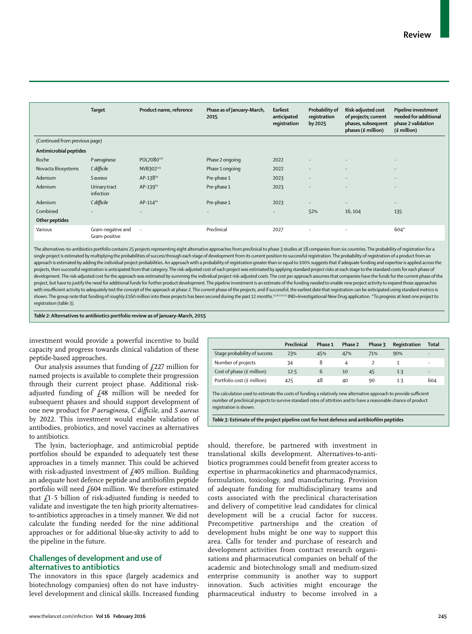|                                | <b>Target</b>                      | Product name, reference | Phase as of January-March,<br>2015 | Earliest<br>anticipated<br>registration | Probability of<br>registration<br>by 2025 | Risk-adjusted cost<br>of projects; current<br>phases, subsequent<br>phases (£ million) | Pipeline investment<br>needed for additional<br>phase 2 validation<br>(£ million) |  |
|--------------------------------|------------------------------------|-------------------------|------------------------------------|-----------------------------------------|-------------------------------------------|----------------------------------------------------------------------------------------|-----------------------------------------------------------------------------------|--|
| (Continued from previous page) |                                    |                         |                                    |                                         |                                           |                                                                                        |                                                                                   |  |
| Antimicrobial peptides         |                                    |                         |                                    |                                         |                                           |                                                                                        |                                                                                   |  |
| Roche                          | P aeruginosa                       | POL7080128              | Phase 2 ongoing                    | 2022                                    | $\cdots$                                  | $\ldots$                                                                               | $\ldots$                                                                          |  |
| Novacta Biosystems             | C difficile                        | NVB302129               | Phase 1 ongoing                    | 2022                                    | $\ddotsc$                                 | $\ddotsc$                                                                              | $\cdots$                                                                          |  |
| Adenium                        | <b>S</b> aureus                    | AP-13864                | Pre-phase 1                        | 2023                                    | $\ddotsc$                                 | $\ldots$                                                                               | $\ddotsc$                                                                         |  |
| Adenium                        | Urinary tract<br>infection         | AP-139 <sup>64</sup>    | Pre-phase 1                        | 2023                                    | $\cdots$                                  | $\ddotsc$                                                                              | $\ldots$                                                                          |  |
| Adenium                        | C difficile                        | AP-114 <sup>64</sup>    | Pre-phase 1                        | 2023                                    | $\ddotsc$                                 | $\ddotsc$                                                                              | $\cdots$                                                                          |  |
| Combined                       | $\ldots$                           | $\ddotsc$               | $\cdots$                           | $\cdots$                                | 52%                                       | 16, 104                                                                                | 135                                                                               |  |
| Other peptides                 |                                    |                         |                                    |                                         |                                           |                                                                                        |                                                                                   |  |
| Various                        | Gram-negative and<br>Gram-positive | $\cdots$                | Preclinical                        | 2027                                    | $\ldots$                                  | $\ddotsc$                                                                              | $604*$                                                                            |  |

The alternatives-to-antibiotics portfolio contains 25 projects representing eight alternative approaches from preclinical to phase 3 studies at 18 companies from six countries. The probability of registration for a single project is estimated by multiplying the probabilities of success through each stage of development from its current position to successful registration. The probability of registration of a product from an approach is estimated by adding the individual project probabilities. An approach with a probability of registration greater than or equal to 100% suggests that if adequate funding and expertise is applied across the projects, then successful registration is anticipated from that category. The risk-adjusted cost of each project was estimated by applying standard project risks at each stage to the standard costs for each phase of development. The risk-adjusted cost for the approach was estimated by summing the individual project risk-adjusted costs. The cost per approach assumes that companies have the funds for the current phase of the project, but have to justify the need for additional funds for further product development. The pipeline investment is an estimate of the funding needed to enable new project activity to expand those approaches with insufficient activity to adequately test the concept of the approach at phase 2. The current phase of the projects, and if successful, the earliest date that registration can be anticipated using standard metrics is shown. The group note that funding of roughly £160 million into these projects has been secured during the past 12 months.<sup>13,6,100</sup> IND=Investigational New Drug application. \*To progress at least one project to registration (table 3).

*Table 2:* **Alternatives to antibiotics portfolio review as of January–March, 2015**

investment would provide a powerful incentive to build capacity and progress towards clinical validation of these peptide-based approaches.

Our analysis assumes that funding of  $f$  227 million for named projects is available to complete their progression through their current project phase. Additional riskadjusted funding of  $f$ 48 million will be needed for subsequent phases and should support development of one new product for *P aeruginosa*, *C difficile*, and *S aureus* by 2022. This investment would enable validation of antibodies, probiotics, and novel vaccines as alternatives to antibiotics.

The lysin, bacteriophage, and antimicrobial peptide portfolios should be expanded to adequately test these approaches in a timely manner. This could be achieved with risk-adjusted investment of  $f$ 405 million. Building an adequate host defence peptide and antibiofilm peptide portfolio will need  $f$ 604 million. We therefore estimated that  $f_1$ 1.5 billion of risk-adjusted funding is needed to validate and investigate the ten high priority alternativesto-antibiotics approaches in a timely manner. We did not calculate the funding needed for the nine additional approaches or for additional blue-sky activity to add to the pipeline in the future.

## **Challenges of development and use of alternatives to antibiotics**

The innovators in this space (largely academics and biotechnology companies) often do not have industrylevel development and clinical skills. Increased funding

|                              | Preclinical | Phase 1 | Phase 2 | Phase 3 | Registration | Total   |
|------------------------------|-------------|---------|---------|---------|--------------|---------|
| Stage probability of success | 23%         | 45%     | 47%     | 71%     | 90%          | $\cdot$ |
| Number of projects           | 34          |         |         |         |              | $\cdot$ |
| Cost of phase ( $E$ million) | $12-5$      | 6       | 10      | 45      | 1.3          | $\cdot$ |
| Portfolio cost (£ million)   | 425         | 48      | 40      | 90      | $1-3$        | 604     |
|                              |             |         |         |         |              |         |

The calculation used to estimate the costs of funding a relatively new alternative approach to provide sufficient number of preclinical projects to survive standard rates of attrition and to have a reasonable chance of product registration is shown.

Table 3: Estimate of the project pipeline cost for host defence and antibiofilm peptides

should, therefore, be partnered with investment in translational skills development. Alternatives-to-antibiotics programmes could benefit from greater access to expertise in pharmacokinetics and pharmacodynamics, formulation, toxicology, and manufacturing. Provision of adequate funding for multidisciplinary teams and costs associated with the preclinical characterisation and delivery of competitive lead candidates for clinical development will be a crucial factor for success. Precompetitive partnerships and the creation of development hubs might be one way to support this area. Calls for tender and purchase of research and development activities from contract research organisations and pharmaceutical companies on behalf of the academic and biotechnology small and medium-sized enterprise community is another way to support innovation. Such activities might encourage the pharmaceutical industry to become involved in a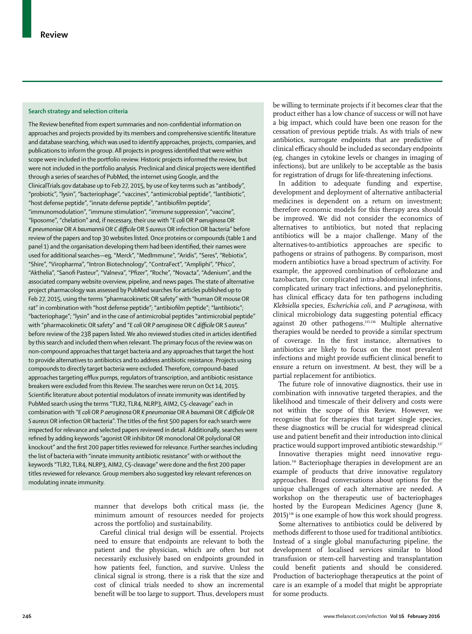#### **Search strategy and selection criteria**

The Review benefited from expert summaries and non-confidential information on approaches and projects provided by its members and comprehensive scientific literature and database searching, which was used to identify approaches, projects, companies, and publications to inform the group. All projects in progress identified that were within scope were included in the portfolio review. Historic projects informed the review, but were not included in the portfolio analysis. Preclinical and clinical projects were identified through a series of searches of PubMed, the internet using Google, and the ClinicalTrials.gov database up to Feb 27, 2015, by use of key terms such as "antibody", "probiotic", "lysin", "bacteriophage", "vaccines", "antimicrobial peptide", "lantibiotic", "host defense peptide", "innate defense peptide", "antibiofilm peptide", "immunomodulation", "immune stimulation", "immune suppression", "vaccine", "liposome", "chelation" and, if necessary, their use with "*E coli* OR *P aeruginosa* OR *K* pneumoniae OR A baumannii OR C difficile OR S aureus OR infection OR bacteria" before review of the papers and top 30 websites listed. Once proteins or compounds (table 1 and panel 1) and the organisation developing them had been identified, their names were used for additional searches—eg, "Merck", "MedImmune", "Aridis", "Seres", "Rebiotix", "Shire", "Viropharma", "Intron Biotechnology", "ContraFect", "Ampliphi", "Phico", "Akthelia", "Sanofi Pasteur", "Valneva", "Pfizer", "Roche", "Novacta", "Adenium", and the associated company website overview, pipeline, and news pages. The state of alternative project pharmacology was assessed by PubMed searches for articles published up to Feb 27, 2015, using the terms "pharmacokinetic OR safety" with "human OR mouse OR rat" in combination with "host defense peptide"; "antibiofilm peptide"; "lantibiotic"; "bacteriophage"; "lysin" and in the case of antimicrobial peptides "antimicrobial peptide" with "pharmacokinetic OR safety" and "*E coli* OR *P* aeruginosa OR *C* difficile OR *S* aureus" before review of the 238 papers listed. We also reviewed studies cited in articles identified by this search and included them when relevant. The primary focus of the review was on non-compound approaches that target bacteria and any approaches that target the host to provide alternatives to antibiotics and to address antibiotic resistance. Projects using compounds to directly target bacteria were excluded. Therefore, compound-based approaches targeting efflux pumps, regulators of transcription, and antibiotic resistance breakers were excluded from this Review. The searches were rerun on Oct 14, 2015. Scientific literature about potential modulators of innate immunity was identified by PubMed search using the terms "TLR2, TLR4, NLRP3, AIM2, C5-cleavage" each in combination with "*E coli* OR *P aeruginosa* OR *K pneumoniae* OR *A baumanii* OR *C diffi cile* OR *S* aureus OR infection OR bacteria". The titles of the first 500 papers for each search were inspected for relevance and selected papers reviewed in detail. Additionally, searches were refined by adding keywords "agonist OR inhibitor OR monoclonal OR polyclonal OR knockout" and the first 200 paper titles reviewed for relevance. Further searches including the list of bacteria with "innate immunity antibiotic resistance" with or without the keywords "TLR2, TLR4, NLRP3, AIM2, C5-cleavage" were done and the first 200 paper titles reviewed for relevance. Group members also suggested key relevant references on modulating innate immunity.

> manner that develops both critical mass (ie, the minimum amount of resources needed for projects across the portfolio) and sustainability.

> Careful clinical trial design will be essential. Projects need to ensure that endpoints are relevant to both the patient and the physician, which are often but not necessarily exclusively based on endpoints grounded in how patients feel, function, and survive. Unless the clinical signal is strong, there is a risk that the size and cost of clinical trials needed to show an incremental benefit will be too large to support. Thus, developers must

be willing to terminate projects if it becomes clear that the product either has a low chance of success or will not have a big impact, which could have been one reason for the cessation of previous peptide trials. As with trials of new antibiotics, surrogate endpoints that are predictive of clinical efficacy should be included as secondary endpoints (eg, changes in cytokine levels or changes in imaging of infections), but are unlikely to be acceptable as the basis for registration of drugs for life-threatening infections.

In addition to adequate funding and expertise, development and deployment of alternative antibacterial medicines is dependent on a return on investment; therefore economic models for this therapy area should be improved. We did not consider the economics of alternatives to antibiotics, but noted that replacing antibiotics will be a major challenge. Many of the alternatives-to-antibiotics approaches are specific to pathogens or strains of pathogens. By comparison, most modern antibiotics have a broad spectrum of activity. For example, the approved combination of ceftolozane and tazobactam, for complicated intra-abdominal infections, complicated urinary tract infections, and pyelonephritis, has clinical efficacy data for ten pathogens including *Klebsiella* species, *Escherichia coli,* and *P aeruginosa,* with clinical microbiology data suggesting potential efficacy against 20 other pathogens.135,136 Multiple alternative therapies would be needed to provide a similar spectrum of coverage. In the first instance, alternatives to antibiotics are likely to focus on the most prevalent infections and might provide sufficient clinical benefit to ensure a return on investment. At best, they will be a partial replacement for antibiotics.

The future role of innovative diagnostics, their use in combination with innovative targeted therapies, and the likelihood and timescale of their delivery and costs were not within the scope of this Review. However, we recognise that for therapies that target single species, these diagnostics will be crucial for widespread clinical use and patient benefit and their introduction into clinical practice would support improved antibiotic stewardship.<sup>137</sup>

Innovative therapies might need innovative regulation.116 Bacteriophage therapies in development are an example of products that drive innovative regulatory approaches. Broad conversations about options for the unique challenges of each alternative are needed. A workshop on the therapeutic use of bacteriophages hosted by the European Medicines Agency (June 8, 2015)138 is one example of how this work should progress.

Some alternatives to antibiotics could be delivered by methods different to those used for traditional antibiotics. Instead of a single global manufacturing pipeline, the development of localised services similar to blood transfusion or stem-cell harvesting and transplantation could benefit patients and should be considered. Production of bacteriophage therapeutics at the point of care is an example of a model that might be appropriate for some products.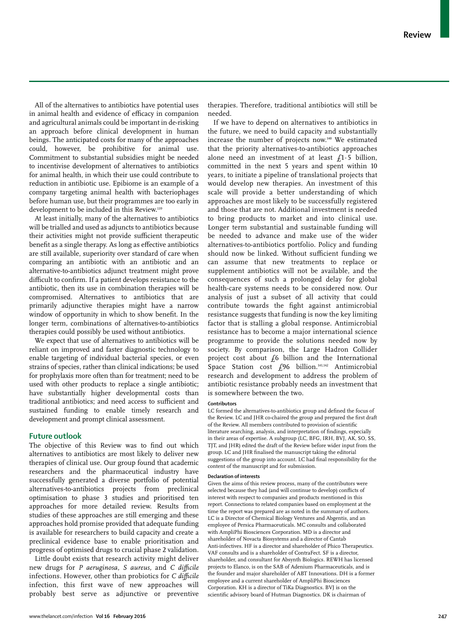All of the alternatives to antibiotics have potential uses in animal health and evidence of efficacy in companion and agricultural animals could be important in de-risking an approach before clinical development in human beings. The anticipated costs for many of the approaches could, however, be prohibitive for animal use. Commitment to substantial subsidies might be needed to incentivise development of alternatives to antibiotics for animal health, in which their use could contribute to reduction in antibiotic use. Epibiome is an example of a company targeting animal health with bacteriophages before human use, but their programmes are too early in development to be included in this Review.<sup>139</sup>

At least initially, many of the alternatives to antibiotics will be trialled and used as adjuncts to antibiotics because their activities might not provide sufficient therapeutic benefit as a single therapy. As long as effective antibiotics are still available, superiority over standard of care when comparing an antibiotic with an antibiotic and an alternative-to-antibiotics adjunct treatment might prove difficult to confirm. If a patient develops resistance to the antibiotic, then its use in combination therapies will be compromised. Alternatives to antibiotics that are primarily adjunctive therapies might have a narrow window of opportunity in which to show benefit. In the longer term, combinations of alternatives-to-antibiotics therapies could possibly be used without antibiotics.

We expect that use of alternatives to antibiotics will be reliant on improved and faster diagnostic technology to enable targeting of individual bacterial species, or even strains of species, rather than clinical indications; be used for prophylaxis more often than for treatment; need to be used with other products to replace a single antibiotic; have substantially higher developmental costs than traditional antibiotics; and need access to sufficient and sustained funding to enable timely research and development and prompt clinical assessment.

## **Future outlook**

The objective of this Review was to find out which alternatives to antibiotics are most likely to deliver new therapies of clinical use. Our group found that academic researchers and the pharmaceutical industry have successfully generated a diverse portfolio of potential alternatives-to-antibiotics projects from preclinical optimisation to phase 3 studies and prioritised ten approaches for more detailed review. Results from studies of these approaches are still emerging and these approaches hold promise provided that adequate funding is available for researchers to build capacity and create a preclinical evidence base to enable prioritisation and progress of optimised drugs to crucial phase 2 validation.

Little doubt exists that research activity might deliver new drugs for *P aeruginosa*, *S aureus*, and *C difficile* infections. However, other than probiotics for *C difficile* infection, this first wave of new approaches will probably best serve as adjunctive or preventive

therapies. Therefore, traditional antibiotics will still be needed.

If we have to depend on alternatives to antibiotics in the future, we need to build capacity and substantially increase the number of projects now.140 We estimated that the priority alternatives-to-antibiotics approaches alone need an investment of at least  $f_1$ . 5 billion, committed in the next 5 years and spent within 10 years, to initiate a pipeline of translational projects that would develop new therapies. An investment of this scale will provide a better understanding of which approaches are most likely to be successfully registered and those that are not. Additional investment is needed to bring products to market and into clinical use. Longer term substantial and sustainable funding will be needed to advance and make use of the wider alternatives-to-antibiotics portfolio. Policy and funding should now be linked. Without sufficient funding we can assume that new treatments to replace or supplement antibiotics will not be available, and the consequences of such a prolonged delay for global health-care systems needs to be considered now. Our analysis of just a subset of all activity that could contribute towards the fight against antimicrobial resistance suggests that funding is now the key limiting factor that is stalling a global response. Antimicrobial resistance has to become a major international science programme to provide the solutions needed now by society. By comparison, the Large Hadron Collider project cost about  $f_0$  billion and the International Space Station cost  $f_{.96}$  billion.<sup>141,142</sup> Antimicrobial research and development to address the problem of antibiotic resistance probably needs an investment that is somewhere between the two.

#### **Contributors**

LC formed the alternatives-to-antibiotics group and defined the focus of the Review. LC and JHR co-chaired the group and prepared the first draft of the Review. All members contributed to provision of scientific literature searching, analysis, and interpretation of findings, especially in their areas of expertise. A subgroup (LC, BFG, IRH, BVJ, AK, SO, SS, TJT, and JHR) edited the draft of the Review before wider input from the group. LC and JHR finalised the manuscript taking the editorial suggestions of the group into account. LC had final responsibility for the content of the manuscript and for submission.

#### **Declaration of interests**

Given the aims of this review process, many of the contributors were selected because they had (and will continue to develop) conflicts of interest with respect to companies and products mentioned in this report. Connections to related companies based on employment at the time the report was prepared are as noted in the summary of authors. LC is a Director of Chemical Biology Ventures and Abgentis, and an employee of Persica Pharmaceuticals. MC consults and collaborated with AmpliPhi Biosciences Corporation. MD is a director and shareholder of Novacta Biosystems and a director of Cantab Anti-infectives. HF is a director and shareholder of Phico Therapeutics. VAF consults and is a shareholder of ContraFect. SF is a director, shareholder, and consultant for Absynth Biologics. REWH has licensed projects to Elanco, is on the SAB of Adenium Pharmaceuticals, and is the founder and major shareholder of ABT Innovations. DH is a former employee and a current shareholder of AmpliPhi Biosciences Corporation. KH is a director of TiKa Diagnostics. BVJ is on the scientific advisory board of Hutman Diagnostics. DK is chairman of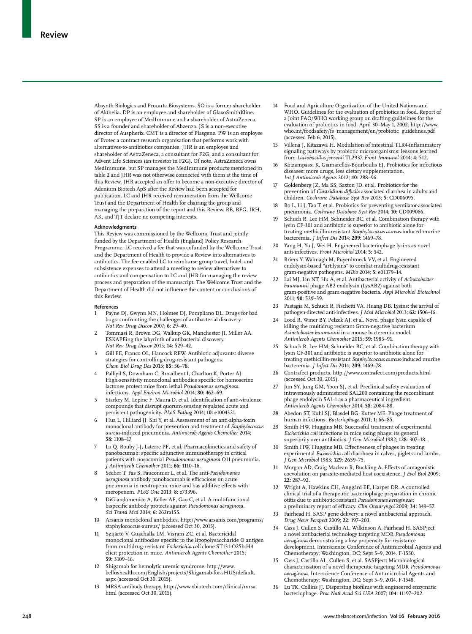Absynth Biologics and Procarta Biosystems. SO is a former shareholder of Akthelia. DP is an employee and shareholder of GlaxoSmithKline. SP is an employee of MedImmune and a shareholder of AstraZeneca. SS is a founder and shareholder of Abzenza. JS is a non-executive director of Auspherix. CMT is a director of Plasgene. PW is an employee of Evotec a contract research organisation that performs work with alternatives-to-antibiotics companies. JHR is an employee and shareholder of AstraZeneca, a consultant for F2G, and a consultant for Advent Life Sciences (an investor in F2G). Of note, AstraZeneca owns MedImmune, but SP manages the MedImmune products mentioned in table 2 and JHR was not otherwise connected with them at the time of this Review. JHR accepted an offer to become a non-executive director of Adenium Biotech ApS after the Review had been accepted for publication. LC and JHR received remuneration from the Wellcome Trust and the Department of Health for chairing the group and managing the preparation of the report and this Review. RB, BFG, IRH, AK, and TJT declare no competing interests.

#### **Acknowledgments**

This Review was commissioned by the Wellcome Trust and jointly funded by the Department of Health (England) Policy Research Programme. LC received a fee that was cofunded by the Wellcome Trust and the Department of Health to provide a Review into alternatives to antibiotics. The fee enabled LC to reimburse group travel, hotel, and subsistence expenses to attend a meeting to review alternatives to antibiotics and compensation to LC and JHR for managing the review process and preparation of the manuscript. The Wellcome Trust and the Department of Health did not influence the content or conclusions of this Review.

#### **References**

- Payne DJ, Gwynn MN, Holmes DJ, Pompliano DL. Drugs for bad bugs: confronting the challenges of antibacterial discovery. *Nat Rev Drug Discov* 2007; **6:** 29–40.
- 2 Tommasi R, Brown DG, Walkup GK, Manchester JI, Miller AA. ESKAPEing the labyrinth of antibacterial discovery. *Nat Rev Drug Discov* 2015; **14:** 529–42.
- 3 Gill EE, Franco OL, Hancock REW. Antibiotic adjuvants: diverse strategies for controlling drug-resistant pathogens. *Chem Biol Drug Des* 2015; **85:** 56–78.
- 4 Palliyil S, Downham C, Broadbent I, Charlton K, Porter AJ. High-sensitivity monoclonal antibodies specific for homoserine lactones protect mice from lethal *Pseudomonas aeruginosa* infections. *Appl Environ Microbiol* 2014; **80:** 462–69.
- 5 Starkey M, Lepine F, Maura D, et al. Identification of anti-virulence compounds that disrupt quorum-sensing regulated acute and persistent pathogenicity. *PLoS Pathog* 2014; **10:** e1004321.
- 6 Hua L, Hilliard JJ, Shi Y, et al. Assessment of an anti-alpha-toxin monoclonal antibody for prevention and treatment of *Staphylococcus aureus*-induced pneumonia. *Antimicrob Agents Chemother* 2014; **58:** 1108–17.
- 7 Lu Q, Rouby J-J, Laterre PF, et al. Pharmacokinetics and safety of panobacumab: specific adjunctive immunotherapy in critical patients with nosocomial *Pseudomonas aeruginosa* O11 pneumonia. *J Antimicrob Chemother* 2011; **66:** 1110–16.
- 8 Secher T, Fas S, Fauconnier L, et al. The anti-*Pseudomonas aeruginosa* antibody panobacumab is efficacious on acute pneumonia in neutropenic mice and has additive effects with meropenem. *PLoS One* 2013; **8:** e73396.
- 9 DiGiandomenico A, Keller AE, Gao C, et al. A multifunctional bispecific antibody protects against *Pseudomonas aeruginosa*. *Sci Transl Med* 2014; **6:** 262ra155.
- Arsanis monoclonal antibodies. http://www.arsanis.com/programs/ staphylococcus-aureus/ (accessed Oct 30, 2015).
- 11 Szijártó V, Guachalla LM, Visram ZC, et al. Bactericidal monoclonal antibodies specific to the lipopolysaccharide O antigen from multidrug-resistant *Escherichia coli* clone ST131-O25b:H4 elicit protection in mice. *Antimicrob Agents Chemother* 2015; **59:** 3109–16.
- 12 Shigamab for hemolytic uremic syndrome. http://www. bellushealth.com/English/projects/Shigamab-for-sHUS/default. aspx (accessed Oct 30, 2015).
- 13 MRSA antibody therapy. http://www.xbiotech.com/clinical/mrsa. html (accessed Oct 30, 2015).
- 14 Food and Agriculture Organization of the United Nations and WHO. Guidelines for the evaluation of probiotics in food. Report of a Joint FAO/WHO working group on drafting guidelines for the evaluation of probiotics in food. April 30–May 1, 2002. http://www. who.int/foodsafety/fs\_management/en/probiotic\_guidelines.pdf (accessed Feb 6, 2015).
- 15 Villena J, Kitazawa H. Modulation of intestinal TLR4-inflammatory signaling pathways by probiotic microorganisms: lessons learned from *Lactobacillus jensenii* TL2937. *Front Immunol* 2014; **4:** 512.
- 16 Kotzampassi K, Giamarellos-Bourboulis EJ. Probiotics for infectious diseases: more drugs, less dietary supplementation. *Int J Antimicrob Agents* 2012; **40:** 288–96.
- 17 Goldenberg JZ, Ma SS, Saxton JD, et al. Probiotics for the prevention of *Clostridium difficile* associated diarrhea in adults and children. *Cochrane Database Syst Rev* 2013; **5:** CD006095.
- 18 Bo L, Li J, Tao T, et al. Probiotics for preventing ventilator-associated pneumonia. *Cochrane Database Syst Rev* 2014; **10:** CD009066.
- 19 Schuch R, Lee HM, Schneider BC, et al. Combination therapy with lysin CF-301 and antibiotic is superior to antibiotic alone for treating methicillin-resistant *Staphylococcus aureus*-induced murine bacteremia. *J Infect Dis* 2014; **209:** 1469–78.
- 20 Yang H, Yu J, Wei H. Engineered bacteriophage lysins as novel anti-infectives. *Front Microbiol* 2014; **5:** 542.
- 21 Briers Y, Walmagh M, Puyenbroeck VV, et al. Engineered endolysin-based "artilysins" to combat multidrug-resistant gram-negative pathogens. *MBio* 2014; **5:** e01379–14.
- 22 Lai MJ, Lin NT, Hu A, et al. Antibacterial activity of *Acinetobacter baumannii* phage AB2 endolysin (LysAB2) against both gram-positive and gram-negative bacteria. *Appl Microbiol Biotechnol* 2011; **90:** 529–39.
- 23 Pastagia M, Schuch R, Fischetti VA, Huang DB. Lysins: the arrival of pathogen-directed anti-infectives. *J Med Microbiol* 2013; **62:** 1506–16.
- 24 Lood R, Winer BY, Pelzek AJ, et al. Novel phage lysin capable of killing the multidrug resistant Gram-negative bacterium *Acinetobacter baumannii* in a mouse bacteremia model. *Antimicrob Agents Chemother* 2015; **59:** 1983–91.
- Schuch R, Lee HM, Schneider BC, et al. Combination therapy with lysin CF-301 and antibiotic is superior to antibiotic alone for treating methicillin-resistant *Staphylococcus aureus*-induced murine bacteremia. *J Infect Dis* 2014; **209:** 1469–78.
- 26 Contrafect products. http://www.contrafect.com/products.html (accessed Oct 30, 2015).
- Jun SY, Jung GM, Yoon SJ, et al. Preclinical safety evaluation of intravenously administered SAL200 containing the recombinant phage endolysin SAL-1 as a pharmaceutical ingredient. *Antimicrob Agents Chemother* 2014; **58:** 2084–88.
- 28 Abedon ST, Kuhl SJ, Blasdel BG, Kutter ME. Phage treatment of human infections. *Bacteriophage* 2011; **1:** 66–85.
- 29 Smith HW, Huggins MB. Successful treatment of experimental *Escherichia coli* infections in mice using phage: its general superiority over antibiotics. *J Gen Microbiol* 1982; **128:** 307–18.
- 30 Smith HW, Huggins MB. Effectiveness of phages in treating experimental *Escherichia coli* diarrhoea in calves, piglets and lambs. *J Gen Microbiol* 1983; **129:** 2659–75.
- 31 Morgan AD, Craig Maclean R, Buckling A. Effects of antagonistic coevolution on parasite-mediated host coexistence. *J Evol Biol* 2009; **22:** 287–92.
- 32 Wright A, Hawkins CH, Anggård EE, Harper DR. A controlled clinical trial of a therapeutic bacteriophage preparation in chronic otitis due to antibiotic-resistant *Pseudomonas aeruginosa*; a preliminary report of efficacy. *Clin Otolaryngol* 2009; 34: 349-57.
- Fairhead H. SASP gene delivery: a novel antibacterial approach. *Drug News Perspect* 2009; **22:** 197–203.
- Cass J, Cullen S, Castillo AL, Wilkinson A, Fairhead H. SASPject: a novel antibacterial technology targeting MDR *Pseudomonas aeruginosa* demonstrating a low propensity for resistance development. Interscience Conference of Antimicrobial Agents and Chemotherapy; Washington, DC; Sept 5–9, 2014. F-1550.
- 35 Cass J, Castillo AL, Cullen S, et al. SASPject: Microbiological characterisation of a novel therapeutic targeting MDR *Pseudomonas aeruginosa*. Interscience Conference of Antimicrobial Agents and Chemotherapy; Washington, DC; Sept 5–9, 2014. F-1548.
- Lu TK, Collins JJ. Dispersing biofilms with engineered enzymatic bacteriophage. *Proc Natl Acad Sci USA* 2007; **104:** 11197–202.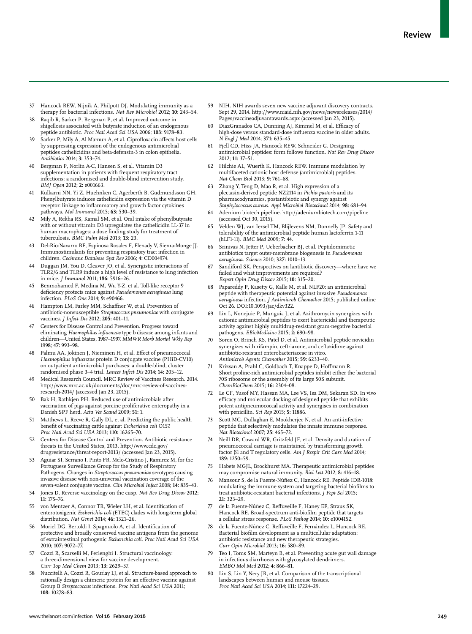- 37 Hancock REW, Nijnik A, Philpott DJ. Modulating immunity as a therapy for bacterial infections. *Nat Rev Microbiol* 2012; **10:** 243–54.
- 38 Raqib R, Sarker P, Bergman P, et al. Improved outcome in shigellosis associated with butyrate induction of an endogenous peptide antibiotic. *Proc Natl Acad Sci USA* 2006; **103:** 9178–83.
- Sarker P, Mily A, Al Mamun A, et al. Ciprofloxacin affects host cells by suppressing expression of the endogenous antimicrobial peptides cathelicidins and beta-defensin-3 in colon epithelia. *Antibiotics* 2014; **3:** 353–74.
- 40 Bergman P, Norlin A-C, Hansen S, et al. Vitamin D3 supplementation in patients with frequent respiratory tract infections: a randomised and double-blind intervention study. *BMJ Open* 2012; **2:** e001663.
- 41 Kulkarni NN, Yi Z, Huehnken C, Agerberth B, Gudmundsson GH. Phenylbutyrate induces cathelicidin expression via the vitamin D receptor: linkage to inflammatory and growth factor cytokines pathways. *Mol Immunol* 2015; **63:** 530–39.
- 42 Mily A, Rekha RS, Kamal SM, et al. Oral intake of phenylbutyrate with or without vitamin D3 upregulates the cathelicidin LL-37 in human macrophages: a dose finding study for treatment of tuberculosis. *BMC Pulm Med* 2013; **13:** 23.
- 43 Del-Rio-Navarro BE, Espinosa Rosales F, Flenady V, Sienra-Monge JJ. Immunostimulants for preventing respiratory tract infection in children. *Cochrane Database Syst Rev* 2006; **4:** CD004974.
- Duggan JM, You D, Cleaver JO, et al. Synergistic interactions of TLR2/6 and TLR9 induce a high level of resistance to lung infection in mice. *J Immunol* 2011; **186:** 5916–26.
- 45 Benmohamed F, Medina M, Wu Y-Z, et al. Toll-like receptor 9 defi ciency protects mice against *Pseudomonas aeruginosa* lung infection. *PLoS One* 2014; **9:** e90466.
- Hampton LM, Farley MM, Schaffner W, et al. Prevention of antibiotic-nonsusceptible *Streptococcus pneumoniae* with conjugate vaccines. *J Infect Dis* 2012; **205:** 401–11.
- 47 Centers for Disease Control and Prevention. Progress toward eliminating *Haemophilus influenzae* type b disease among infants and children—United States, 1987–1997. *MMWR Morb Mortal Wkly Rep* 1998; **47:** 993–98.
- Palmu AA, Jokinen J, Nieminen H, et al. Effect of pneumococcal *Haemophilus infl uenzae* protein D conjugate vaccine (PHiD-CV10) on outpatient antimicrobial purchases: a double-blind, cluster randomised phase 3–4 trial. *Lancet Infect Dis* 2014; **14:** 205–12.
- Medical Research Council. MRC Review of Vaccines Research. 2014. http://www.mrc.ac.uk/documents/doc/mrc-review-of-vaccinesresearch-2014/ (accessed Jan 23, 2015).
- 50 Bak H, Rathkjen PH. Reduced use of antimicrobials after vaccination of pigs against porcine proliferative enteropathy in a Danish SPF herd. *Acta Vet Scand* 2009; **51:** 1.
- 51 Matthews L, Reeve R, Gally DL, et al. Predicting the public health benefit of vaccinating cattle against *Escherichia coli* O157. *Proc Natl Acad Sci USA* 2013; **110:** 16265–70.
- 52 Centers for Disease Control and Prevention. Antibiotic resistance threats in the United States, 2013. http://www.cdc.gov/ drugresistance/threat-report-2013/ (accessed Jan 23, 2015).
- 53 Aguiar SI, Serrano I, Pinto FR, Melo-Cristino J, Ramirez M, for the Portuguese Surveillance Group for the Study of Respiratory Pathogens. Changes in *Streptococcus pneumoniae* serotypes causing invasive disease with non-universal vaccination coverage of the seven-valent conjugate vaccine. *Clin Microbiol Infect* 2008; **14:** 835–43.
- 54 Jones D. Reverse vaccinology on the cusp. *Nat Rev Drug Discov* 2012; **11:** 175–76.
- 55 von Mentzer A, Connor TR, Wieler LH, et al. Identification of enterotoxigenic *Escherichia coli* (ETEC) clades with long-term global distribution. *Nat Genet* 2014; **46:** 1321–26.
- 56 Moriel DG, Bertoldi I, Spagnuolo A, et al. Identification of protective and broadly conserved vaccine antigens from the genome of extraintestinal pathogenic *Escherichia coli*. *Proc Natl Acad Sci USA* 2010; **107:** 9072–77.
- 57 Cozzi R, Scarselli M, Ferlenghi I. Structural vaccinology: a three-dimensional view for vaccine development. *Curr Top Med Chem* 2013; **13:** 2629–37.
- 58 Nuccitelli A, Cozzi R, Gourlay LJ, et al. Structure-based approach to rationally design a chimeric protein for an effective vaccine against Group B *Streptococcus* infections. *Proc Natl Acad Sci USA* 2011; **108:** 10278–83.
- 59 NIH. NIH awards seven new vaccine adjuvant discovery contracts. Sept 29, 2014. http://www.niaid.nih.gov/news/newsreleases/2014/ Pages/vaccineadjuvantawards.aspx (accessed Jan 23, 2015).
- DiazGranados CA, Dunning AJ, Kimmel M, et al. Efficacy of high-dose versus standard-dose influenza vaccine in older adults. *N Engl J Med* 2014; **371:** 635–45.
- 61 Fjell CD, Hiss JA, Hancock REW, Schneider G. Designing antimicrobial peptides: form follows function. *Nat Rev Drug Discov* 2012; **11:** 37–51.
- 62 Hilchie AL, Wuerth K, Hancock REW. Immune modulation by multifaceted cationic host defense (antimicrobial) peptides. *Nat Chem Biol* 2013; **9:** 761–68.
- Zhang Y, Teng D, Mao R, et al. High expression of a plectasin-derived peptide NZ2114 in *Pichia pastoris* and its pharmacodynamics, postantibiotic and synergy against *Staphylococcus aureus. Appl Microbiol Biotechnol* 2014; **98:** 681–94.
- Adenium biotech pipeline. http://adeniumbiotech.com/pipeline (accessed Oct 30, 2015).
- 65 Velden WJ, van Iersel TM, Blijlevens NM, Donnelly JP. Safety and tolerability of the antimicrobial peptide human lactoferrin 1-11 (hLF1-11). *BMC Med* 2009; **7:** 44.
- 66 Srinivas N, Jetter P, Ueberbacher BJ, et al. Peptidomimetic antibiotics target outer-membrane biogenesis in *Pseudomonas aeruginosa. Science* 2010; **327:** 1010–13.
- 67 Sandiford SK. Perspectives on lantibiotic discovery—where have we failed and what improvements are required? *Expert Opin Drug Discov* 2015; **10:** 315–20.
- Papareddy P, Kasetty G, Kalle M, et al. NLF20: an antimicrobial peptide with therapeutic potential against invasive *Pseudomonas aeruginosa* infection. *J Antimicrob Chemother* 2015; published online Oct 26. DOI:10.1093/jac/dkv322.
- 69 Lin L, Nonejuie P, Munguia J, et al. Azithromycin synergizes with cationic antimicrobial peptides to exert bactericidal and therapeutic activity against highly multidrug-resistant gram-negative bacterial pathogens. *EBioMedicine* 2015; **2:** 690–98.
- Soren O, Brinch KS, Patel D, et al. Antimicrobial peptide novicidin synergizes with rifampin, ceftriaxone, and ceftazidime against antibiotic-resistant enterobacteriaceae in vitro. *Antimicrob Agents Chemother* 2015; **59:** 6233–40.
- Krizsan A, Prahl C, Goldbach T, Knappe D, Hoffmann R. Short proline-rich antimicrobial peptides inhibit either the bacterial 70S ribosome or the assembly of its large 50S subunit. *ChemBioChem* 2015; **16:** 2304–08.
- Le CF, Yusof MY, Hassan MA, Lee VS, Isa DM, Sekaran SD. In vivo efficacy and molecular docking of designed peptide that exhibits potent antipneumococcal activity and synergises in combination with penicillin. *Sci Rep* 2015; **5:** 11886.
- Scott MG, Dullaghan E, Mookherjee N, et al. An anti-infective peptide that selectively modulates the innate immune response. *Nat Biotechnol* 2007; **25:** 465–72.
- 74 Neill DR, Coward WR, Gritzfeld JF, et al. Density and duration of pneumococcal carriage is maintained by transforming growth factor β1 and T regulatory cells. *Am J Respir Crit Care Med* 2014; **189:** 1250–59.
- 75 Habets MGJL, Brockhurst MA. Therapeutic antimicrobial peptides may compromise natural immunity. *Biol Lett* 2012; **8:** 416–18.
- 76 Mansour S, de la Fuente-Núñez C, Hancock RE. Peptide IDR-1018: modulating the immune system and targeting bacterial biofilms to treat antibiotic-resistant bacterial infections. *J Pept Sci* 2015; **21:** 323–29.
- de la Fuente-Núñez C, Reffuveille F, Haney EF, Straus SK, Hancock RE. Broad-spectrum anti-biofilm peptide that targets a cellular stress response. *PLoS Pathog* 2014; **10:** e1004152.
- de la Fuente-Núñez C, Reffuveille F, Fernández L, Hancock RE. Bacterial biofilm development as a multicellular adaptation: antibiotic resistance and new therapeutic strategies. *Curr Opin Microbiol* 2013; **16:** 580–89.
- Teo I, Toms SM, Marteyn B, et al. Preventing acute gut wall damage in infectious diarrhoeas with glycosylated dendrimers. *EMBO Mol Med* 2012; **4:** 866–81.
- 80 Lin S, Lin Y, Nery JR, et al. Comparison of the transcriptional landscapes between human and mouse tissues. *Proc Natl Acad Sci USA* 2014; **111:** 17224–29.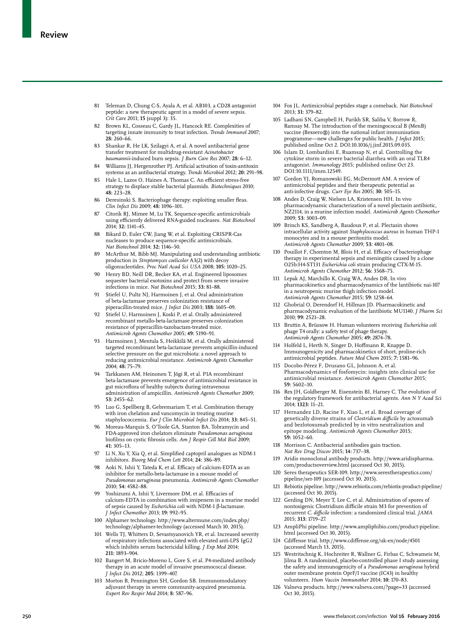- 81 Teleman D, Chung C-S, Ayala A, et al. AB103, a CD28 antagonist peptide: a new therapeutic agent in a model of severe sepsis. *Crit Care* 2011; **15** (suppl 3)**:** 35.
- 82 Brown KL, Cosseau C, Gardy JL, Hancock RE. Complexities of targeting innate immunity to treat infection. *Trends Immunol* 2007; **28:** 260–66.
- 83 Shankar R, He LK, Szilagyi A, et al. A novel antibacterial gene transfer treatment for multidrug-resistant *Acinetobacter baumannii*-induced burn sepsis. *J Burn Care Res* 2007; **28:** 6–12.
- 84 Williams JJ, Hergenrother PJ. Artificial activation of toxin-antitoxin systems as an antibacterial strategy. *Trends Microbiol* 2012; **20:** 291–98.
- 85 Hale L, Lazos O, Haines A, Thomas C. An efficient stress-free strategy to displace stable bacterial plasmids. *Biotechniques* 2010; **48:** 223–28.
- 86 Deresinski S. Bacteriophage therapy: exploiting smaller fleas. *Clin Infect Dis* 2009; **48:** 1096–101.
- 87 Citorik RJ, Mimee M, Lu TK. Sequence-specific antimicrobials using efficiently delivered RNA-guided nucleases. Nat Biotechnol 2014; **32:** 1141–45.
- 88 Bikard D, Euler CW, Jiang W, et al. Exploiting CRISPR-Cas nucleases to produce sequence-specific antimicrobials. *Nat Biotechnol* 2014; **32:** 1146–50.
- 89 McArthur M, Bibb MJ. Manipulating and understanding antibiotic production in *Streptomyces coelicolor* A3(2) with decoy oligonucleotides. *Proc Natl Acad Sci USA* 2008; **105:** 1020–25.
- 90 Henry BD, Neill DR, Becker KA, et al. Engineered liposomes sequester bacterial exotoxins and protect from severe invasive infections in mice. *Nat Biotechnol* 2015; **33:** 81–88.
- 91 Stiefel U, Pultz NJ, Harmoinen J, et al. Oral administration of beta-lactamase preserves colonization resistance of piperacillin-treated mice. *J Infect Dis* 2003; **188:** 1605–09.
- 92 Stiefel U, Harmoinen J, Koski P, et al. Orally administered recombinant metallo-beta-lactamase preserves colonization resistance of piperacillin-tazobactam-treated mice. *Antimicrob Agents Chemother* 2005; **49:** 5190–91.
- 93 Harmoinen J, Mentula S, Heikkilä M, et al. Orally administered targeted recombinant beta-lactamase prevents ampicillin-induced selective pressure on the gut microbiota: a novel approach to reducing antimicrobial resistance. *Antimicrob Agents Chemother* 2004; **48:** 75–79.
- 94 Tarkkanen AM, Heinonen T, Jõgi R, et al. P1A recombinant beta-lactamase prevents emergence of antimicrobial resistance in gut microflora of healthy subjects during intravenous administration of ampicillin. *Antimicrob Agents Chemother* 2009; **53:** 2455–62.
- 95 Luo G, Spellberg B, Gebremariam T, et al. Combination therapy with iron chelation and vancomycin in treating murine staphylococcemia. *Eur J Clin Microbiol Infect Dis* 2014; **33:** 845–51.
- Moreau-Marquis S, O'Toole GA, Stanton BA. Tobramycin and FDA-approved iron chelators eliminate *Pseudomonas aeruginosa* biofilms on cystic fibrosis cells. Am J Respir Cell Mol Biol 2009; **41:** 305–13.
- 97 Li N, Xu Y, Xia Q, et al. Simplified captopril analogues as NDM-1 inhibitors. *Bioorg Med Chem Lett* 2014; **24:** 386–89.
- 98 Aoki N, Ishii Y, Tateda K, et al. Efficacy of calcium-EDTA as an inhibitor for metallo-beta-lactamase in a mouse model of *Pseudomonas aeruginosa* pneumonia. *Antimicrob Agents Chemother*  2010; **54:** 4582–88.
- Yoshizumi A, Ishii Y, Livermore DM, et al. Efficacies of calcium-EDTA in combination with imipenem in a murine model of sepsis caused by *Escherichia coli* with NDM-1 β-lactamase. *J Infect Chemother* 2013; **19:** 992–95.
- 100 Alphamer technology. http://www.altermune.com/index.php/ technology/alphamer-technology (accessed March 10, 2015).
- 101 Wells TJ, Whitters D, Sevastsyanovich YR, et al. Increased severity of respiratory infections associated with elevated anti-LPS IgG2 which inhibits serum bactericidal killing. *J Exp Med* 2014; **211:** 1893–904.
- 102 Bangert M, Bricio-Moreno L, Gore S, et al. P4-mediated antibody therapy in an acute model of invasive pneumococcal disease. *J Infect Dis* 2012; **205:** 1399–407.
- 103 Morton B, Pennington SH, Gordon SB. Immunomodulatory adjuvant therapy in severe community-acquired pneumonia. *Expert Rev Respir Med* 2014; **8:** 587–96.
- 104 Fox JL. Antimicrobial peptides stage a comeback. *Nat Biotechnol* 2013; **31:** 379–82.
- 105 Ladhani SN, Campbell H, Parikh SR, Saliba V, Borrow R, Ramsay M. The introduction of the meningococcal B (MenB) vaccine (Bexsero®) into the national infant immunisation programme—new challenges for public health. *J Infect* 2015; published online Oct 2. DOI:10.1016/j.jinf.2015.09.035.
- 106 Islam D, Lombardini E, Ruamsap N, et al. Controlling the cytokine storm in severe bacterial diarrhea with an oral TLR4 antagonist. *Immunology* 2015; published online Oct 23. DOI:10.1111/imm.12549.
- 107 Gordon YJ, Romanowski EG, McDermott AM. A review of antimicrobial peptides and their therapeutic potential as anti-infective drugs. *Curr Eye Res* 2005; **30:** 505–15.
- 108 Andes D, Craig W, Nielsen LA, Kristensen HH. In vivo pharmacodynamic characterization of a novel plectasin antibiotic, NZ2114, in a murine infection model. *Antimicrob Agents Chemother* 2009; **53:** 3003–09.
- 109 Brinch KS, Sandberg A, Baudoux P, et al. Plectasin shows intracellular activity against *Staphylococcus aureus* in human THP-1 monocytes and in a mouse peritonitis model. *Antimicrob Agents Chemother* 2009; **53:** 4801–08.
- 110 Pouillot F, Chomton M, Blois H, et al. Efficacy of bacteriophage therapy in experimental sepsis and meningitis caused by a clone O25b:H4-ST131 *Escherichia coli* strain producing CTX-M-15. *Antimicrob Agents Chemother* 2012; **56:** 3568–75.
- 111 Lepak AJ, Marchillo K, Craig WA, Andes DR. In vivo pharmacokinetics and pharmacodynamics of the lantibiotic nai-107 in a neutropenic murine thigh infection model. *Antimicrob Agents Chemother* 2015; **59:** 1258–64.
- 112 Ghobrial O, Derendorf H, Hillman JD. Pharmacokinetic and pharmacodynamic evaluation of the lantibiotic MU1140. *J Pharm Sci* 2010; **99:** 2521–28.
- 113 Bruttin A, Brüssow H. Human volunteers receiving *Escherichia coli* phage T4 orally: a safety test of phage therapy. *Antimicrob Agents Chemother* 2005; **49:** 2874–78.
- 114 Holfeld L, Herth N, Singer D, Hoffmann R, Knappe D. Immunogenicity and pharmacokinetics of short, proline-rich antimicrobial peptides. *Future Med Chem* 2015; **7:** 1581–96.
- 115 Docobo-Pérez F, Drusano GL, Johnson A, et al. Pharmacodynamics of fosfomycin: insights into clinical use for antimicrobial resistance. *Antimicrob Agents Chemother* 2015; **59:** 5602–10.
- 116 Rex JH, Goldberger M, Eisenstein BI, Harney C. The evolution of the regulatory framework for antibacterial agents. *Ann N Y Acad Sci* 2014; **1323:** 11–21.
- 117 Hernandez LD, Racine F, Xiao L, et al. Broad coverage of genetically diverse strains of *Clostridium difficile* by actoxumab and bezlotoxumab predicted by in vitro neutralization and epitope modeling. *Antimicrob Agents Chemother* 2015; **59:** 1052–60.
- 118 Morrison C. Antibacterial antibodies gain traction. *Nat Rev Drug Discov* 2015; **14:** 737–38.
- 119 Aridis monoclonal antibody products. http://www.aridispharma. com/productsoverview.html (accessed Oct 30, 2015).
- 120 Seres therapeutics SER-109. http://www.serestherapeutics.com/ pipeline/ser-109 (accessed Oct 30, 2015).
- 121 Rebiotix pipeline. http://www.rebiotix.com/rebiotix-product-pipeline/ (accessed Oct 30, 2015).
- 122 Gerding DN, Meyer T, Lee C, et al. Administration of spores of nontoxigenic Clostridium difficile strain M3 for prevention of recurrent *C. difficile* infection: a randomized clinical trial. *JAMA* 2015; **313:** 1719–27.
- 123 AmpliPhi pipeline. http://www.ampliphibio.com/product-pipeline. html (accessed Oct 30, 2015).
- 124 Cdiffense trial. http://www.cdiffense.org/uk-en/node/4501 (accessed March 13, 2015).
- 125 Westritschnig K, Hochreiter R, Wallner G, Firbas C, Schwameis M, Jilma B. A randomized, placebo-controlled phase I study assessing the safety and immunogenicity of a *Pseudomonas aeruginosa* hybrid outer membrane protein OprF/I vaccine (IC43) in healthy volunteers. *Hum Vaccin Immunother* 2014; **10:** 170–83.
- 126 Valneva products. http://www.valneva.com/?page=33 (accessed Oct 30, 2015).